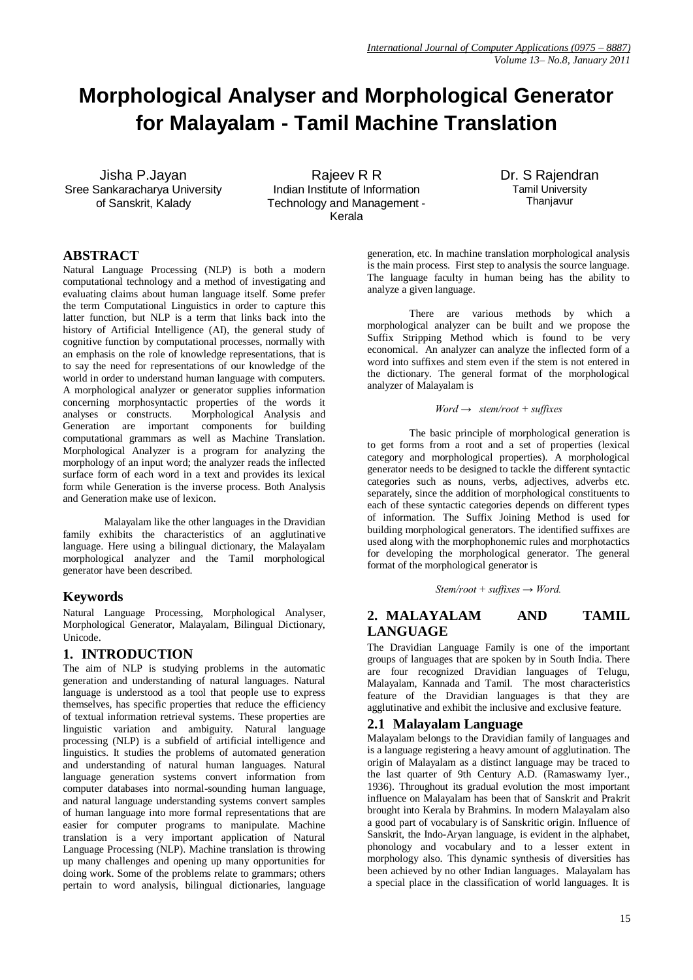# **Morphological Analyser and Morphological Generator for Malayalam - Tamil Machine Translation**

Jisha P.Jayan Sree Sankaracharya University of Sanskrit, Kalady

Rajeev R R Indian Institute of Information Technology and Management - Kerala

Dr. S Rajendran Tamil University Thanjavur

# **ABSTRACT**

Natural Language Processing (NLP) is both a modern computational technology and a method of investigating and evaluating claims about human language itself. Some prefer the term Computational Linguistics in order to capture this latter function, but NLP is a term that links back into the history of Artificial Intelligence (AI), the general study of cognitive function by computational processes, normally with an emphasis on the role of knowledge representations, that is to say the need for representations of our knowledge of the world in order to understand human language with computers. A morphological analyzer or generator supplies information concerning morphosyntactic properties of the words it analyses or constructs. Morphological Analysis and Generation are important components computational grammars as well as Machine Translation. Morphological Analyzer is a program for analyzing the morphology of an input word; the analyzer reads the inflected surface form of each word in a text and provides its lexical form while Generation is the inverse process. Both Analysis and Generation make use of lexicon.

Malayalam like the other languages in the Dravidian family exhibits the characteristics of an agglutinative language. Here using a bilingual dictionary, the Malayalam morphological analyzer and the Tamil morphological generator have been described.

# **Keywords**

Natural Language Processing, Morphological Analyser, Morphological Generator, Malayalam, Bilingual Dictionary, Unicode.

# **1. INTRODUCTION**

The aim of NLP is studying problems in the automatic generation and understanding of natural languages. Natural language is understood as a tool that people use to express themselves, has specific properties that reduce the efficiency of textual information retrieval systems. These properties are linguistic variation and ambiguity. Natural language processing (NLP) is a subfield of artificial intelligence and linguistics. It studies the problems of automated generation and understanding of natural human languages. Natural language generation systems convert information from computer databases into normal-sounding human language, and natural language understanding systems convert samples of human language into more formal representations that are easier for computer programs to manipulate. Machine translation is a very important application of Natural Language Processing (NLP). Machine translation is throwing up many challenges and opening up many opportunities for doing work. Some of the problems relate to grammars; others pertain to word analysis, bilingual dictionaries, language

generation, etc. In machine translation morphological analysis is the main process. First step to analysis the source language. The language faculty in human being has the ability to analyze a given language.

There are various methods by which a morphological analyzer can be built and we propose the Suffix Stripping Method which is found to be very economical. An analyzer can analyze the inflected form of a word into suffixes and stem even if the stem is not entered in the dictionary. The general format of the morphological analyzer of Malayalam is

#### *Word → stem/root + suffixes*

The basic principle of morphological generation is to get forms from a root and a set of properties (lexical category and morphological properties). A morphological generator needs to be designed to tackle the different syntactic categories such as nouns, verbs, adjectives, adverbs etc. separately, since the addition of morphological constituents to each of these syntactic categories depends on different types of information. The Suffix Joining Method is used for building morphological generators. The identified suffixes are used along with the morphophonemic rules and morphotactics for developing the morphological generator. The general format of the morphological generator is

*Stem/root + suffixes → Word.*

# **2. MALAYALAM AND TAMIL LANGUAGE**

The Dravidian Language Family is one of the important groups of languages that are spoken by in South India. There are four recognized Dravidian languages of Telugu, Malayalam, Kannada and Tamil. The most characteristics feature of the Dravidian languages is that they are agglutinative and exhibit the inclusive and exclusive feature.

# **2.1 Malayalam Language**

Malayalam belongs to the Dravidian family of languages and is a language registering a heavy amount of agglutination. The origin of Malayalam as a distinct language may be traced to the last quarter of 9th Century A.D. (Ramaswamy Iyer., 1936). Throughout its gradual evolution the most important influence on Malayalam has been that of Sanskrit and Prakrit brought into Kerala by Brahmins. In modern Malayalam also a good part of vocabulary is of Sanskritic origin. Influence of Sanskrit, the Indo-Aryan language, is evident in the alphabet, phonology and vocabulary and to a lesser extent in morphology also. This dynamic synthesis of diversities has been achieved by no other Indian languages. Malayalam has a special place in the classification of world languages. It is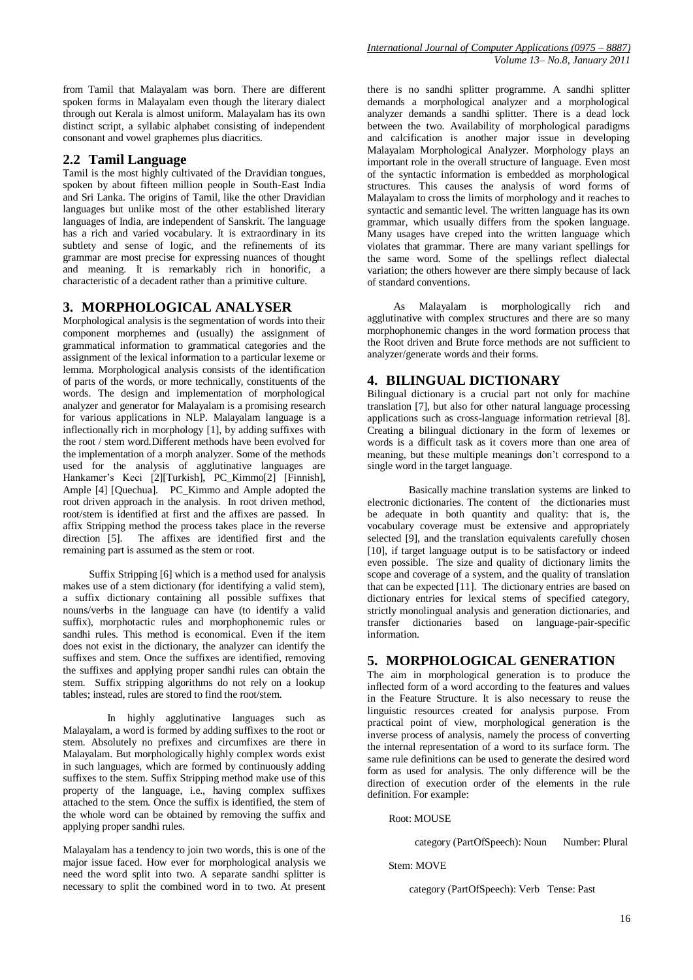from Tamil that Malayalam was born. There are different spoken forms in Malayalam even though the literary dialect through out Kerala is almost uniform. Malayalam has its own distinct script, a syllabic alphabet consisting of independent consonant and vowel graphemes plus diacritics.

#### **2.2 Tamil Language**

Tamil is the most highly cultivated of the Dravidian tongues, spoken by about fifteen million people in South-East India and Sri Lanka. The origins of Tamil, like the other Dravidian languages but unlike most of the other established literary languages of India, are independent of Sanskrit. The language has a rich and varied vocabulary. It is extraordinary in its subtlety and sense of logic, and the refinements of its grammar are most precise for expressing nuances of thought and meaning. It is remarkably rich in honorific, a characteristic of a decadent rather than a primitive culture.

#### **3. MORPHOLOGICAL ANALYSER**

Morphological analysis is the segmentation of words into their component morphemes and (usually) the assignment of grammatical information to grammatical categories and the assignment of the lexical information to a particular lexeme or lemma. Morphological analysis consists of the identification of parts of the words, or more technically, constituents of the words. The design and implementation of morphological analyzer and generator for Malayalam is a promising research for various applications in NLP. Malayalam language is a inflectionally rich in morphology [1], by adding suffixes with the root / stem word.Different methods have been evolved for the implementation of a morph analyzer. Some of the methods used for the analysis of agglutinative languages are Hankamer's Keci [2][Turkish], PC\_Kimmo[2] [Finnish], Ample [4] [Quechua]. PC\_Kimmo and Ample adopted the root driven approach in the analysis. In root driven method, root/stem is identified at first and the affixes are passed. In affix Stripping method the process takes place in the reverse direction [5]. The affixes are identified first and the remaining part is assumed as the stem or root.

Suffix Stripping [6] which is a method used for analysis makes use of a stem dictionary (for identifying a valid stem), a suffix dictionary containing all possible suffixes that nouns/verbs in the language can have (to identify a valid suffix), morphotactic rules and morphophonemic rules or sandhi rules. This method is economical. Even if the item does not exist in the dictionary, the analyzer can identify the suffixes and stem. Once the suffixes are identified, removing the suffixes and applying proper sandhi rules can obtain the stem. Suffix stripping algorithms do not rely on a lookup tables; instead, rules are stored to find the root/stem.

In highly agglutinative languages such as Malayalam, a word is formed by adding suffixes to the root or stem. Absolutely no prefixes and circumfixes are there in Malayalam. But morphologically highly complex words exist in such languages, which are formed by continuously adding suffixes to the stem. Suffix Stripping method make use of this property of the language, i.e., having complex suffixes attached to the stem. Once the suffix is identified, the stem of the whole word can be obtained by removing the suffix and applying proper sandhi rules.

Malayalam has a tendency to join two words, this is one of the major issue faced. How ever for morphological analysis we need the word split into two. A separate sandhi splitter is necessary to split the combined word in to two. At present there is no sandhi splitter programme. A sandhi splitter demands a morphological analyzer and a morphological analyzer demands a sandhi splitter. There is a dead lock between the two. Availability of morphological paradigms and calcification is another major issue in developing Malayalam Morphological Analyzer. Morphology plays an important role in the overall structure of language. Even most of the syntactic information is embedded as morphological structures. This causes the analysis of word forms of Malayalam to cross the limits of morphology and it reaches to syntactic and semantic level. The written language has its own grammar, which usually differs from the spoken language. Many usages have creped into the written language which violates that grammar. There are many variant spellings for the same word. Some of the spellings reflect dialectal variation; the others however are there simply because of lack of standard conventions.

 As Malayalam is morphologically rich and agglutinative with complex structures and there are so many morphophonemic changes in the word formation process that the Root driven and Brute force methods are not sufficient to analyzer/generate words and their forms.

### **4. BILINGUAL DICTIONARY**

Bilingual dictionary is a crucial part not only for machine translation [7], but also for other natural language processing applications such as cross-language information retrieval [8]. Creating a bilingual dictionary in the form of lexemes or words is a difficult task as it covers more than one area of meaning, but these multiple meanings don't correspond to a single word in the target language.

Basically machine translation systems are linked to electronic dictionaries. The content of the dictionaries must be adequate in both quantity and quality: that is, the vocabulary coverage must be extensive and appropriately selected [9], and the translation equivalents carefully chosen [10], if target language output is to be satisfactory or indeed even possible. The size and quality of dictionary limits the scope and coverage of a system, and the quality of translation that can be expected [11]. The dictionary entries are based on dictionary entries for lexical stems of specified category, strictly monolingual analysis and generation dictionaries, and transfer dictionaries based on language-pair-specific information.

#### **5. MORPHOLOGICAL GENERATION**

The aim in morphological generation is to produce the inflected form of a word according to the features and values in the Feature Structure. It is also necessary to reuse the linguistic resources created for analysis purpose. From practical point of view, morphological generation is the inverse process of analysis, namely the process of converting the internal representation of a word to its surface form. The same rule definitions can be used to generate the desired word form as used for analysis. The only difference will be the direction of execution order of the elements in the rule definition. For example:

Root: MOUSE

category (PartOfSpeech): Noun Number: Plural

Stem: MOVE

category (PartOfSpeech): Verb Tense: Past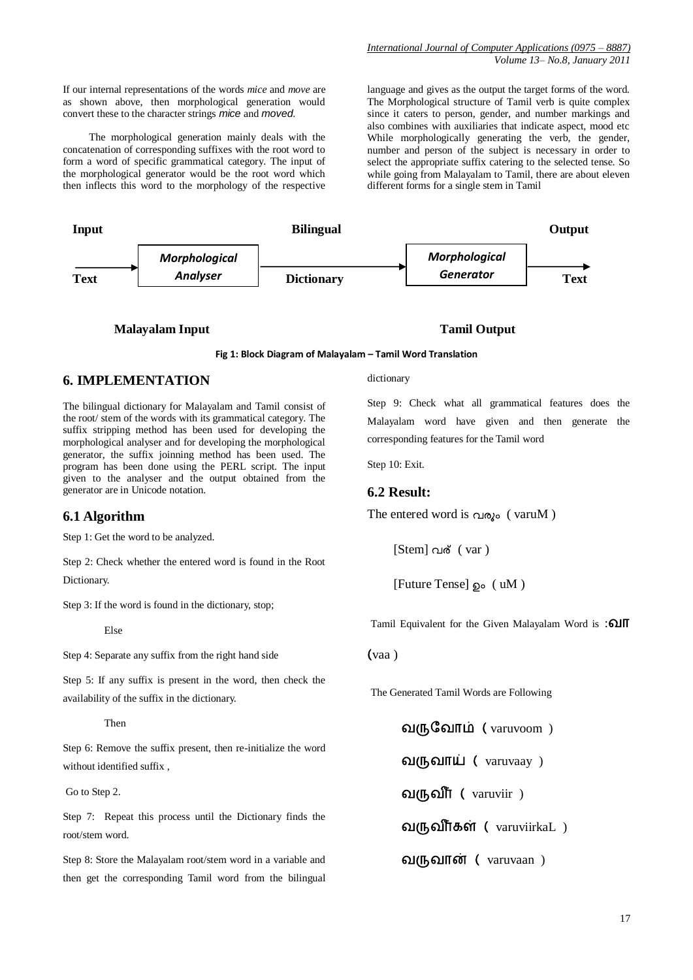The morphological generation mainly deals with the concatenation of corresponding suffixes with the root word to form a word of specific grammatical category. The input of the morphological generator would be the root word which then inflects this word to the morphology of the respective

language and gives as the output the target forms of the word. The Morphological structure of Tamil verb is quite complex since it caters to person, gender, and number markings and also combines with auxiliaries that indicate aspect, mood etc While morphologically generating the verb, the gender, number and person of the subject is necessary in order to select the appropriate suffix catering to the selected tense. So while going from Malayalam to Tamil, there are about eleven different forms for a single stem in Tamil



#### **Malayalam Input Tamil Output**

#### **Fig 1: Block Diagram of Malayalam – Tamil Word Translation**

# **6. IMPLEMENTATION**

The bilingual dictionary for Malayalam and Tamil consist of the root/ stem of the words with its grammatical category. The suffix stripping method has been used for developing the morphological analyser and for developing the morphological generator, the suffix joinning method has been used. The program has been done using the PERL script. The input given to the analyser and the output obtained from the generator are in Unicode notation.

#### **6.1 Algorithm**

Step 1: Get the word to be analyzed.

Step 2: Check whether the entered word is found in the Root Dictionary.

Step 3: If the word is found in the dictionary, stop;

Else

Step 4: Separate any suffix from the right hand side

Step 5: If any suffix is present in the word, then check the availability of the suffix in the dictionary.

Then

Step 6: Remove the suffix present, then re-initialize the word without identified suffix ,

Go to Step 2.

Step 7: Repeat this process until the Dictionary finds the root/stem word.

Step 8: Store the Malayalam root/stem word in a variable and then get the corresponding Tamil word from the bilingual dictionary

Step 9: Check what all grammatical features does the Malayalam word have given and then generate the corresponding features for the Tamil word

Step 10: Exit.

#### **6.2 Result:**

The entered word is  $\alpha_{\text{10}}$  (varuM)

[Stem] വര് (var)

 $[Future Tense]$   $\odot$  ( uM )

Tamil Equivalent for the Given Malayalam Word is : **QIIT** 

vaa )

The Generated Tamil Words are Following

வருவோம் (varuvoom)

வருவாய் ( $varu$ aruvaay)

வருவீர் ( $varu vir$ )

வருவீர்கள் ( $varu$ irkaL)

வருவான் (varuvaan)